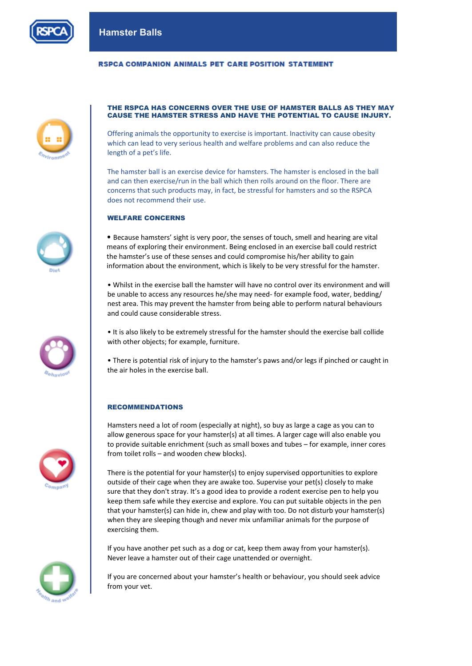

## **RSPCA COMPANION ANIMALS PET CARE POSITION STATEMENT**



#### THE RSPCA HAS CONCERNS OVER THE USE OF HAMSTER BALLS AS THEY MAY CAUSE THE HAMSTER STRESS AND HAVE THE POTENTIAL TO CAUSE INJURY.

Offering animals the opportunity to exercise is important. Inactivity can cause obesity which can lead to very serious health and welfare problems and can also reduce the length of a pet's life.

The hamster ball is an exercise device for hamsters. The hamster is enclosed in the ball and can then exercise/run in the ball which then rolls around on the floor. There are concerns that such products may, in fact, be stressful for hamsters and so the RSPCA does not recommend their use.

## WELFARE CONCERNS

• Because hamsters' sight is very poor, the senses of touch, smell and hearing are vital means of exploring their environment. Being enclosed in an exercise ball could restrict the hamster's use of these senses and could compromise his/her ability to gain information about the environment, which is likely to be very stressful for the hamster.

• Whilst in the exercise ball the hamster will have no control over its environment and will be unable to access any resources he/she may need- for example food, water, bedding/ nest area. This may prevent the hamster from being able to perform natural behaviours and could cause considerable stress.

• It is also likely to be extremely stressful for the hamster should the exercise ball collide with other objects; for example, furniture.

• There is potential risk of injury to the hamster's paws and/or legs if pinched or caught in the air holes in the exercise ball.

#### RECOMMENDATIONS

Hamsters need a lot of room (especially at night), so buy as large a cage as you can to allow generous space for your hamster(s) at all times. A larger cage will also enable you to provide suitable enrichment (such as small boxes and tubes – for example, inner cores from toilet rolls – and wooden chew blocks).

There is the potential for your hamster(s) to enjoy supervised opportunities to explore outside of their cage when they are awake too. Supervise your pet(s) closely to make sure that they don't stray. It's a good idea to provide a rodent exercise pen to help you keep them safe while they exercise and explore. You can put suitable objects in the pen that your hamster(s) can hide in, chew and play with too. Do not disturb your hamster(s) when they are sleeping though and never mix unfamiliar animals for the purpose of exercising them.

If you have another pet such as a dog or cat, keep them away from your hamster(s). Never leave a hamster out of their cage unattended or overnight.

If you are concerned about your hamster's health or behaviour, you should seek advice from your vet.